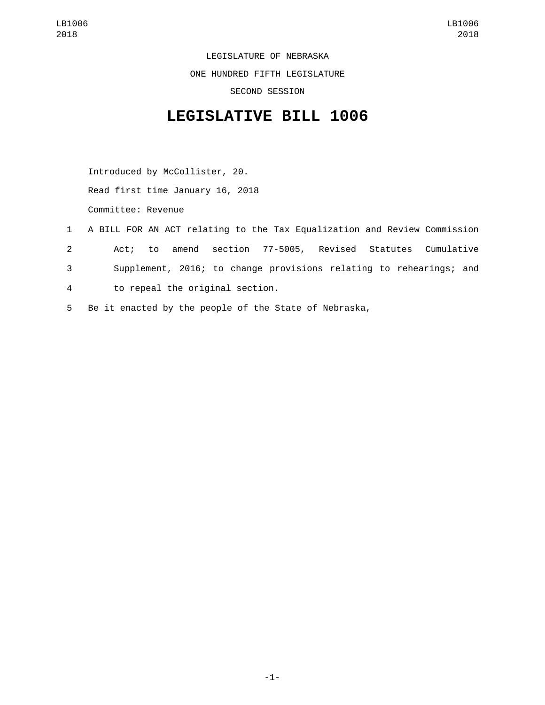LEGISLATURE OF NEBRASKA ONE HUNDRED FIFTH LEGISLATURE

SECOND SESSION

## **LEGISLATIVE BILL 1006**

Introduced by McCollister, 20. Read first time January 16, 2018 Committee: Revenue

- 1 A BILL FOR AN ACT relating to the Tax Equalization and Review Commission 2 Act; to amend section 77-5005, Revised Statutes Cumulative 3 Supplement, 2016; to change provisions relating to rehearings; and to repeal the original section.4
- 5 Be it enacted by the people of the State of Nebraska,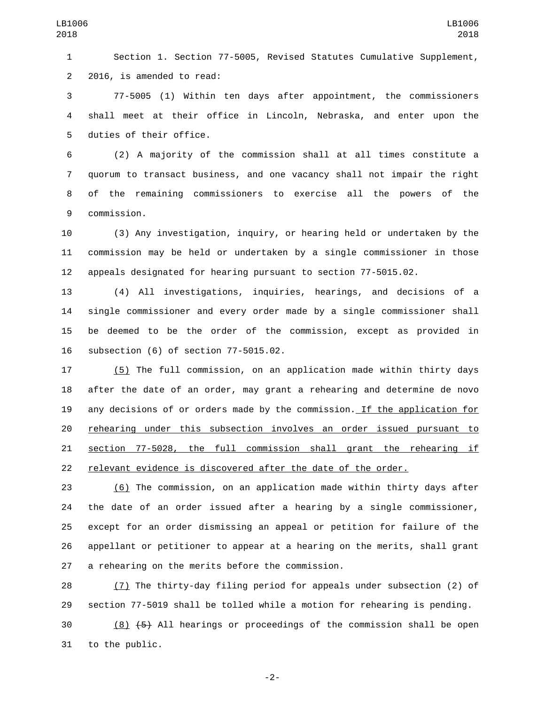Section 1. Section 77-5005, Revised Statutes Cumulative Supplement, 2 2016, is amended to read:

 77-5005 (1) Within ten days after appointment, the commissioners shall meet at their office in Lincoln, Nebraska, and enter upon the 5 duties of their office.

 (2) A majority of the commission shall at all times constitute a quorum to transact business, and one vacancy shall not impair the right of the remaining commissioners to exercise all the powers of the 9 commission.

 (3) Any investigation, inquiry, or hearing held or undertaken by the commission may be held or undertaken by a single commissioner in those appeals designated for hearing pursuant to section 77-5015.02.

 (4) All investigations, inquiries, hearings, and decisions of a single commissioner and every order made by a single commissioner shall be deemed to be the order of the commission, except as provided in 16 subsection (6) of section 77-5015.02.

 (5) The full commission, on an application made within thirty days after the date of an order, may grant a rehearing and determine de novo any decisions of or orders made by the commission. If the application for rehearing under this subsection involves an order issued pursuant to section 77-5028, the full commission shall grant the rehearing if relevant evidence is discovered after the date of the order.

 (6) The commission, on an application made within thirty days after the date of an order issued after a hearing by a single commissioner, except for an order dismissing an appeal or petition for failure of the appellant or petitioner to appear at a hearing on the merits, shall grant 27 a rehearing on the merits before the commission.

 (7) The thirty-day filing period for appeals under subsection (2) of section 77-5019 shall be tolled while a motion for rehearing is pending.

 $\overline{30}$  (8)  $\overline{5}$  All hearings or proceedings of the commission shall be open 31 to the public.

-2-